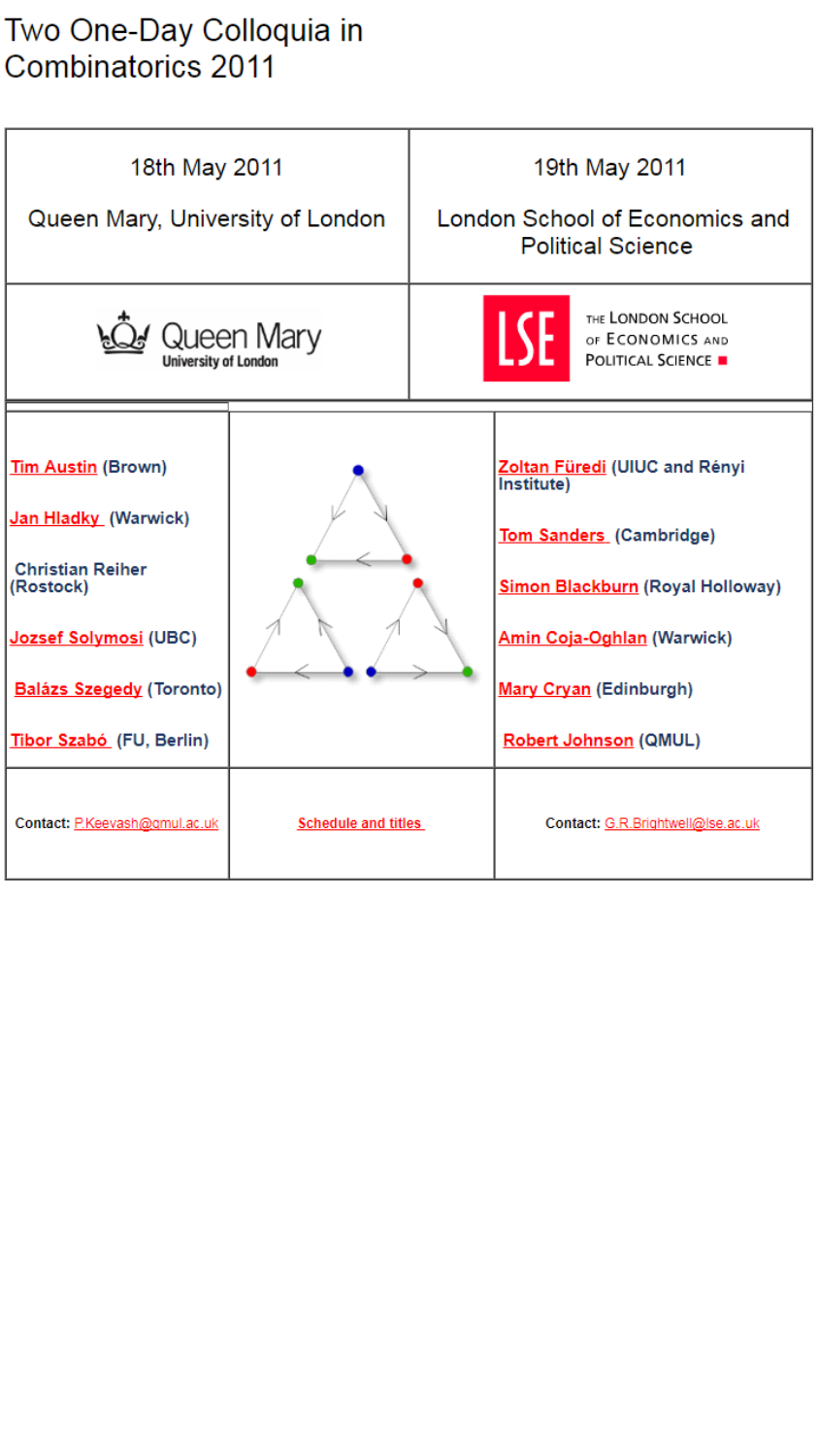## Two One-Day Colloquia in<br>Combinatorics 2011

| 18th May 2011<br>Queen Mary, University of London                                                                                                                          |                            | 19th May 2011<br>London School of Economics and<br><b>Political Science</b> |                                                                                                                                                                                                           |
|----------------------------------------------------------------------------------------------------------------------------------------------------------------------------|----------------------------|-----------------------------------------------------------------------------|-----------------------------------------------------------------------------------------------------------------------------------------------------------------------------------------------------------|
| Queen Mary<br><b>University of London</b>                                                                                                                                  |                            |                                                                             | THE LONDON SCHOOL<br>LSE.<br>OF ECONOMICS AND<br><b>POLITICAL SCIENCE .</b>                                                                                                                               |
| Tim Austin (Brown)<br>Jan Hladky (Warwick)<br><b>Christian Reiher</b><br>(Rostock)<br>Jozsef Solymosi (UBC)<br><b>Balázs Szegedy (Toronto)</b><br>Tibor Szabó (FU, Berlin) |                            |                                                                             | Zoltan Füredi (UIUC and Rényi<br>Institute)<br>Tom Sanders (Cambridge)<br>Simon Blackburn (Royal Holloway)<br><b>Amin Coja-Oghlan (Warwick)</b><br>Mary Cryan (Edinburgh)<br><b>Robert Johnson (QMUL)</b> |
| Contact: P.Keevash@gmul.ac.uk                                                                                                                                              | <b>Schedule and titles</b> |                                                                             | Contact: G.R.Brightwell@Ise.ac.uk                                                                                                                                                                         |